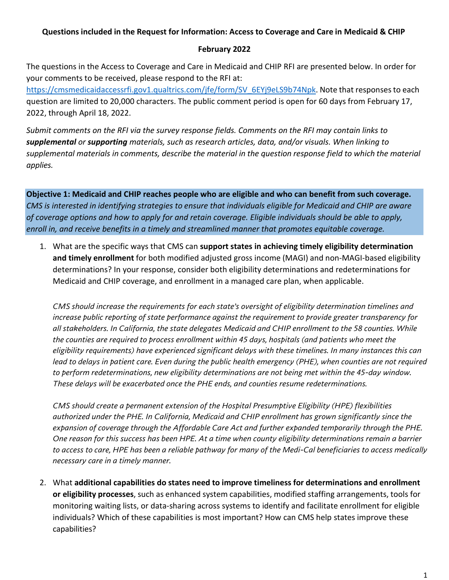## **Questions included in the Request for Information: Access to Coverage and Care in Medicaid & CHIP**

## **February 2022**

The questions in the Access to Coverage and Care in Medicaid and CHIP RFI are presented below. In order for your comments to be received, please respond to the RFI at:

[https://cmsmedicaidaccessrfi.gov1.qualtrics.com/jfe/form/SV\\_6EYj9eLS9b74Npk.](https://cmsmedicaidaccessrfi.gov1.qualtrics.com/jfe/form/SV_6EYj9eLS9b74Npk) Note that responses to each question are limited to 20,000 characters. The public comment period is open for 60 days from February 17, 2022, through April 18, 2022.

*Submit comments on the RFI via the survey response fields. Comments on the RFI may contain links to supplemental or supporting materials, such as research articles, data, and/or visuals. When linking to supplemental materials in comments, describe the material in the question response field to which the material applies.*

**Objective 1: Medicaid and CHIP reaches people who are eligible and who can benefit from such coverage.**  *CMS is interested in identifying strategies to ensure that individuals eligible for Medicaid and CHIP are aware of coverage options and how to apply for and retain coverage. Eligible individuals should be able to apply, enroll in, and receive benefits in a timely and streamlined manner that promotes equitable coverage.*

1. What are the specific ways that CMS can **support states in achieving timely eligibility determination and timely enrollment** for both modified adjusted gross income (MAGI) and non-MAGI-based eligibility determinations? In your response, consider both eligibility determinations and redeterminations for Medicaid and CHIP coverage, and enrollment in a managed care plan, when applicable.

*CMS should increase the requirements for each state's oversight of eligibility determination timelines and increase public reporting of state performance against the requirement to provide greater transparency for all stakeholders. In California, the state delegates Medicaid and CHIP enrollment to the 58 counties. While the counties are required to process enrollment within 45 days, hospitals (and patients who meet the eligibility requirements) have experienced significant delays with these timelines. In many instances this can lead to delays in patient care. Even during the public health emergency (PHE), when counties are not required to perform redeterminations, new eligibility determinations are not being met within the 45-day window. These delays will be exacerbated once the PHE ends, and counties resume redeterminations.* 

*CMS should create a permanent extension of the Hospital Presumptive Eligibility (HPE) flexibilities authorized under the PHE. In California, Medicaid and CHIP enrollment has grown significantly since the expansion of coverage through the Affordable Care Act and further expanded temporarily through the PHE. One reason for this success has been HPE. At a time when county eligibility determinations remain a barrier to access to care, HPE has been a reliable pathway for many of the Medi-Cal beneficiaries to access medically necessary care in a timely manner.* 

2. What **additional capabilities do states need to improve timeliness for determinations and enrollment or eligibility processes**, such as enhanced system capabilities, modified staffing arrangements, tools for monitoring waiting lists, or data-sharing across systems to identify and facilitate enrollment for eligible individuals? Which of these capabilities is most important? How can CMS help states improve these capabilities?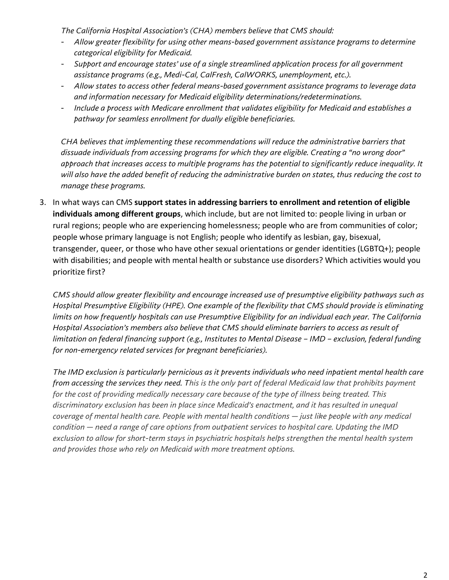*The California Hospital Association's (CHA) members believe that CMS should:* 

- *Allow greater flexibility for using other means-based government assistance programs to determine categorical eligibility for Medicaid.*
- *Support and encourage states' use of a single streamlined application process for all government assistance programs (e.g., Medi-Cal, CalFresh, CalWORKS, unemployment, etc.).*
- *Allow states to access other federal means-based government assistance programs to leverage data and information necessary for Medicaid eligibility determinations/redeterminations.*
- *Include a process with Medicare enrollment that validates eligibility for Medicaid and establishes a pathway for seamless enrollment for dually eligible beneficiaries.*

*CHA believes that implementing these recommendations will reduce the administrative barriers that dissuade individuals from accessing programs for which they are eligible. Creating a "no wrong door" approach that increases access to multiple programs has the potential to significantly reduce inequality. It will also have the added benefit of reducing the administrative burden on states, thus reducing the cost to manage these programs.* 

3. In what ways can CMS **support states in addressing barriers to enrollment and retention of eligible individuals among different groups**, which include, but are not limited to: people living in urban or rural regions; people who are experiencing homelessness; people who are from communities of color; people whose primary language is not English; people who identify as lesbian, gay, bisexual, transgender, queer, or those who have other sexual orientations or gender identities (LGBTQ+); people with disabilities; and people with mental health or substance use disorders? Which activities would you prioritize first?

*CMS should allow greater flexibility and encourage increased use of presumptive eligibility pathways such as Hospital Presumptive Eligibility (HPE). One example of the flexibility that CMS should provide is eliminating limits on how frequently hospitals can use Presumptive Eligibility for an individual each year. The California Hospital Association's members also believe that CMS should eliminate barriers to access as result of limitation on federal financing support (e.g., Institutes to Mental Disease – IMD – exclusion, federal funding for non-emergency related services for pregnant beneficiaries).* 

*The IMD exclusion is particularly pernicious as it prevents individuals who need inpatient mental health care from accessing the services they need. This is the only part of federal Medicaid law that prohibits payment for the cost of providing medically necessary care because of the type of illness being treated. This discriminatory exclusion has been in place since Medicaid's enactment, and it has resulted in unequal coverage of mental health care. People with mental health conditions — just like people with any medical condition — need a range of care options from outpatient services to hospital care. Updating the IMD exclusion to allow for short-term stays in psychiatric hospitals helps strengthen the mental health system and provides those who rely on Medicaid with more treatment options.*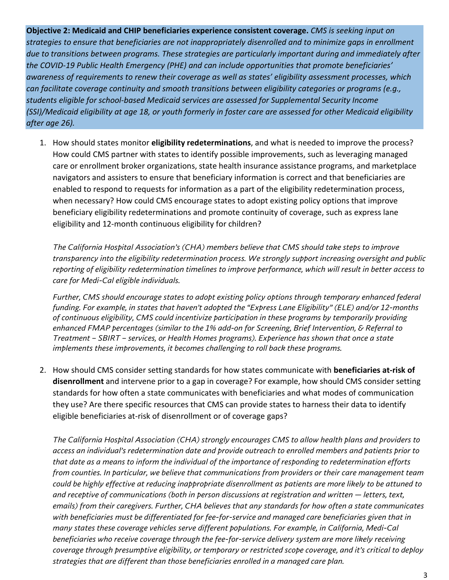**Objective 2: Medicaid and CHIP beneficiaries experience consistent coverage.** *CMS is seeking input on strategies to ensure that beneficiaries are not inappropriately disenrolled and to minimize gaps in enrollment due to transitions between programs. These strategies are particularly important during and immediately after the COVID-19 Public Health Emergency (PHE) and can include opportunities that promote beneficiaries' awareness of requirements to renew their coverage as well as states' eligibility assessment processes, which can facilitate coverage continuity and smooth transitions between eligibility categories or programs (e.g., students eligible for school-based Medicaid services are assessed for Supplemental Security Income (SSI)/Medicaid eligibility at age 18, or youth formerly in foster care are assessed for other Medicaid eligibility after age 26).*

1. How should states monitor **eligibility redeterminations**, and what is needed to improve the process? How could CMS partner with states to identify possible improvements, such as leveraging managed care or enrollment broker organizations, state health insurance assistance programs, and marketplace navigators and assisters to ensure that beneficiary information is correct and that beneficiaries are enabled to respond to requests for information as a part of the eligibility redetermination process, when necessary? How could CMS encourage states to adopt existing policy options that improve beneficiary eligibility redeterminations and promote continuity of coverage, such as express lane eligibility and 12-month continuous eligibility for children?

*The California Hospital Association's (CHA) members believe that CMS should take steps to improve transparency into the eligibility redetermination process. We strongly support increasing oversight and public reporting of eligibility redetermination timelines to improve performance, which will result in better access to care for Medi-Cal eligible individuals.* 

*Further, CMS should encourage states to adopt existing policy options through temporary enhanced federal funding. For example, in states that haven't adopted the "Express Lane Eligibility" (ELE) and/or 12-months of continuous eligibility, CMS could incentivize participation in these programs by temporarily providing enhanced FMAP percentages (similar to the 1% add-on for Screening, Brief Intervention, & Referral to Treatment – SBIRT – services, or Health Homes programs). Experience has shown that once a state implements these improvements, it becomes challenging to roll back these programs.*

2. How should CMS consider setting standards for how states communicate with **beneficiaries at-risk of disenrollment** and intervene prior to a gap in coverage? For example, how should CMS consider setting standards for how often a state communicates with beneficiaries and what modes of communication they use? Are there specific resources that CMS can provide states to harness their data to identify eligible beneficiaries at-risk of disenrollment or of coverage gaps?

*The California Hospital Association (CHA) strongly encourages CMS to allow health plans and providers to access an individual's redetermination date and provide outreach to enrolled members and patients prior to that date as a means to inform the individual of the importance of responding to redetermination efforts from counties. In particular, we believe that communications from providers or their care management team could be highly effective at reducing inappropriate disenrollment as patients are more likely to be attuned to and receptive of communications (both in person discussions at registration and written — letters, text, emails) from their caregivers. Further, CHA believes that any standards for how often a state communicates with beneficiaries must be differentiated for fee-for-service and managed care beneficiaries given that in many states these coverage vehicles serve different populations. For example, in California, Medi-Cal beneficiaries who receive coverage through the fee-for-service delivery system are more likely receiving coverage through presumptive eligibility, or temporary or restricted scope coverage, and it's critical to deploy strategies that are different than those beneficiaries enrolled in a managed care plan.*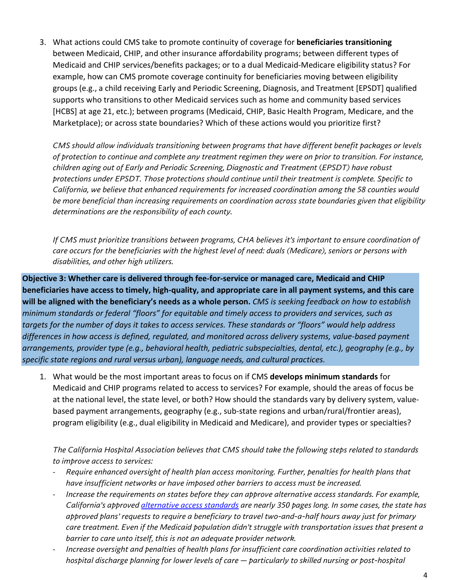3. What actions could CMS take to promote continuity of coverage for **beneficiaries transitioning**  between Medicaid, CHIP, and other insurance affordability programs; between different types of Medicaid and CHIP services/benefits packages; or to a dual Medicaid-Medicare eligibility status? For example, how can CMS promote coverage continuity for beneficiaries moving between eligibility groups (e.g., a child receiving Early and Periodic Screening, Diagnosis, and Treatment [EPSDT] qualified supports who transitions to other Medicaid services such as home and community based services [HCBS] at age 21, etc.); between programs (Medicaid, CHIP, Basic Health Program, Medicare, and the Marketplace); or across state boundaries? Which of these actions would you prioritize first?

*CMS should allow individuals transitioning between programs that have different benefit packages or levels of protection to continue and complete any treatment regimen they were on prior to transition. For instance, children aging out of Early and Periodic Screening, Diagnostic and Treatment* (*EPSDT) have robust protections under EPSDT. Those protections should continue until their treatment is complete. Specific to California, we believe that enhanced requirements for increased coordination among the 58 counties would be more beneficial than increasing requirements on coordination across state boundaries given that eligibility determinations are the responsibility of each county.*

*If CMS must prioritize transitions between programs, CHA believes it's important to ensure coordination of care occurs for the beneficiaries with the highest level of need: duals (Medicare), seniors or persons with disabilities, and other high utilizers.* 

**Objective 3: Whether care is delivered through fee-for-service or managed care, Medicaid and CHIP beneficiaries have access to timely, high-quality, and appropriate care in all payment systems, and this care will be aligned with the beneficiary's needs as a whole person.** *CMS is seeking feedback on how to* e*stablish minimum standards or federal "floors" for equitable and timely access to providers and services, such as targets for the number of days it takes to access services. These standards or "floors" would help address differences in how access is defined, regulated, and monitored across delivery systems, value-based payment arrangements, provider type (e.g., behavioral health, pediatric subspecialties, dental, etc.), geography (e.g., by specific state regions and rural versus urban), language needs, and cultural practices.*

1. What would be the most important areas to focus on if CMS **develops minimum standards** for Medicaid and CHIP programs related to access to services? For example, should the areas of focus be at the national level, the state level, or both? How should the standards vary by delivery system, valuebased payment arrangements, geography (e.g., sub-state regions and urban/rural/frontier areas), program eligibility (e.g., dual eligibility in Medicaid and Medicare), and provider types or specialties?

*The California Hospital Association believes that CMS should take the following steps related to standards to improve access to services:* 

- *Require enhanced oversight of health plan access monitoring. Further, penalties for health plans that have insufficient networks or have imposed other barriers to access must be increased.*
- *Increase the requirements on states before they can approve alternative access standards. For example, California's approve[d alternative access standards](https://calhospital-my.sharepoint.com/personal/cmulvany_calhospital_org/Documents/Documents/Regulatory/Medicaid/%E2%80%A2%09https:/www.dhcs.ca.gov/formsandpubs/Documents/July-2021-Jan-2022-AAS-Report.pdf) are nearly 350 pages long. In some cases, the state has approved plans' requests to require a beneficiary to travel two-and-a-half hours away just for primary care treatment. Even if the Medicaid population didn't struggle with transportation issues that present a barrier to care unto itself, this is not an adequate provider network.*
- *Increase oversight and penalties of health plans for insufficient care coordination activities related to hospital discharge planning for lower levels of care — particularly to skilled nursing or post-hospital*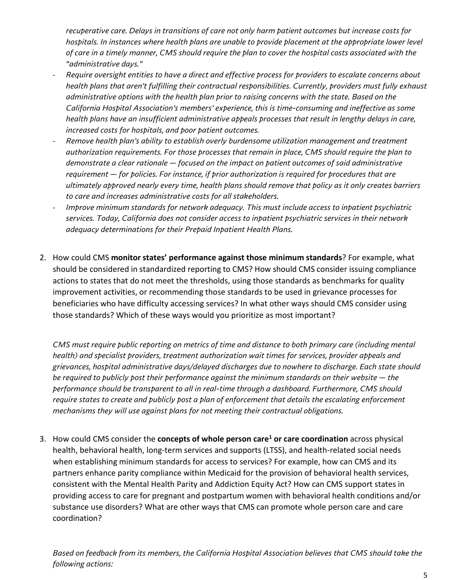*recuperative care. Delays in transitions of care not only harm patient outcomes but increase costs for hospitals. In instances where health plans are unable to provide placement at the appropriate lower level of care in a timely manner, CMS should require the plan to cover the hospital costs associated with the "administrative days."* 

- *Require oversight entities to have a direct and effective process for providers to escalate concerns about health plans that aren't fulfilling their contractual responsibilities. Currently, providers must fully exhaust administrative options with the health plan prior to raising concerns with the state. Based on the California Hospital Association's members' experience, this is time-consuming and ineffective as some health plans have an insufficient administrative appeals processes that result in lengthy delays in care, increased costs for hospitals, and poor patient outcomes.*
- *Remove health plan's ability to establish overly burdensome utilization management and treatment authorization requirements. For those processes that remain in place, CMS should require the plan to demonstrate a clear rationale — focused on the impact on patient outcomes of said administrative requirement — for policies. For instance, if prior authorization is required for procedures that are ultimately approved nearly every time, health plans should remove that policy as it only creates barriers to care and increases administrative costs for all stakeholders.*
- *Improve minimum standards for network adequacy. This must include access to inpatient psychiatric services. Today, California does not consider access to inpatient psychiatric services in their network adequacy determinations for their Prepaid Inpatient Health Plans.*
- 2. How could CMS **monitor states' performance against those minimum standards**? For example, what should be considered in standardized reporting to CMS? How should CMS consider issuing compliance actions to states that do not meet the thresholds, using those standards as benchmarks for quality improvement activities, or recommending those standards to be used in grievance processes for beneficiaries who have difficulty accessing services? In what other ways should CMS consider using those standards? Which of these ways would you prioritize as most important?

*CMS must require public reporting on metrics of time and distance to both primary care (including mental health) and specialist providers, treatment authorization wait times for services, provider appeals and grievances, hospital administrative days/delayed discharges due to nowhere to discharge. Each state should be required to publicly post their performance against the minimum standards on their website — the performance should be transparent to all in real-time through a dashboard. Furthermore, CMS should require states to create and publicly post a plan of enforcement that details the escalating enforcement mechanisms they will use against plans for not meeting their contractual obligations.* 

3. How could CMS consider the **concepts of whole person care<sup>1</sup> or care coordination** across physical health, behavioral health, long-term services and supports (LTSS), and health-related social needs when establishing minimum standards for access to services? For example, how can CMS and its partners enhance parity compliance within Medicaid for the provision of behavioral health services, consistent with the Mental Health Parity and Addiction Equity Act? How can CMS support states in providing access to care for pregnant and postpartum women with behavioral health conditions and/or substance use disorders? What are other ways that CMS can promote whole person care and care coordination?

*Based on feedback from its members, the California Hospital Association believes that CMS should take the following actions:*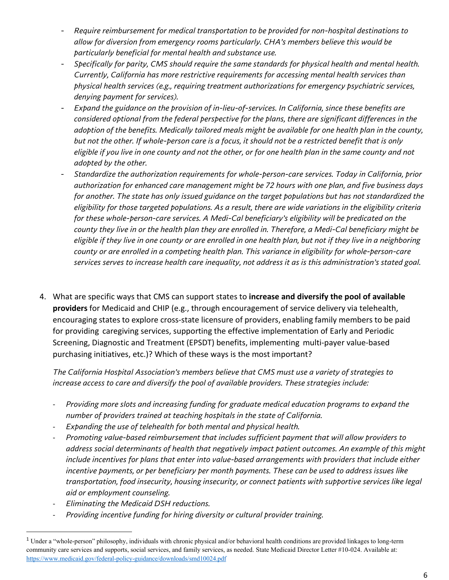- *Require reimbursement for medical transportation to be provided for non-hospital destinations to allow for diversion from emergency rooms particularly. CHA's members believe this would be particularly beneficial for mental health and substance use.*
- *Specifically for parity, CMS should require the same standards for physical health and mental health. Currently, California has more restrictive requirements for accessing mental health services than physical health services (e.g., requiring treatment authorizations for emergency psychiatric services, denying payment for services).*
- *Expand the guidance on the provision of in-lieu-of-services. In California, since these benefits are considered optional from the federal perspective for the plans, there are significant differences in the adoption of the benefits. Medically tailored meals might be available for one health plan in the county, but not the other. If whole-person care is a focus, it should not be a restricted benefit that is only eligible if you live in one county and not the other, or for one health plan in the same county and not adopted by the other.*
- *Standardize the authorization requirements for whole-person-care services. Today in California, prior authorization for enhanced care management might be 72 hours with one plan, and five business days for another. The state has only issued guidance on the target populations but has not standardized the eligibility for those targeted populations. As a result, there are wide variations in the eligibility criteria for these whole-person-care services. A Medi-Cal beneficiary's eligibility will be predicated on the county they live in or the health plan they are enrolled in. Therefore, a Medi-Cal beneficiary might be eligible if they live in one county or are enrolled in one health plan, but not if they live in a neighboring county or are enrolled in a competing health plan. This variance in eligibility for whole-person-care services serves to increase health care inequality, not address it as is this administration's stated goal.*
- 4. What are specific ways that CMS can support states to **increase and diversify the pool of available providers** for Medicaid and CHIP (e.g., through encouragement of service delivery via telehealth, encouraging states to explore cross-state licensure of providers, enabling family members to be paid for providing caregiving services, supporting the effective implementation of Early and Periodic Screening, Diagnostic and Treatment (EPSDT) benefits, implementing multi-payer value-based purchasing initiatives, etc.)? Which of these ways is the most important?

*The California Hospital Association's members believe that CMS must use a variety of strategies to increase access to care and diversify the pool of available providers. These strategies include:*

- *Providing more slots and increasing funding for graduate medical education programs to expand the number of providers trained at teaching hospitals in the state of California.*
- *Expanding the use of telehealth for both mental and physical health.*
- *Promoting value-based reimbursement that includes sufficient payment that will allow providers to address social determinants of health that negatively impact patient outcomes. An example of this might include incentives for plans that enter into value-based arrangements with providers that include either incentive payments, or per beneficiary per month payments. These can be used to address issues like transportation, food insecurity, housing insecurity, or connect patients with supportive services like legal aid or employment counseling.*
- *Eliminating the Medicaid DSH reductions.*
- *Providing incentive funding for hiring diversity or cultural provider training.*

<sup>1</sup>Under a "whole-person" philosophy, individuals with chronic physical and/or behavioral health conditions are provided linkages to long-term community care services and supports, social services, and family services, as needed. State Medicaid Director Letter #10-024. Available at: <https://www.medicaid.gov/federal-policy-guidance/downloads/smd10024.pdf>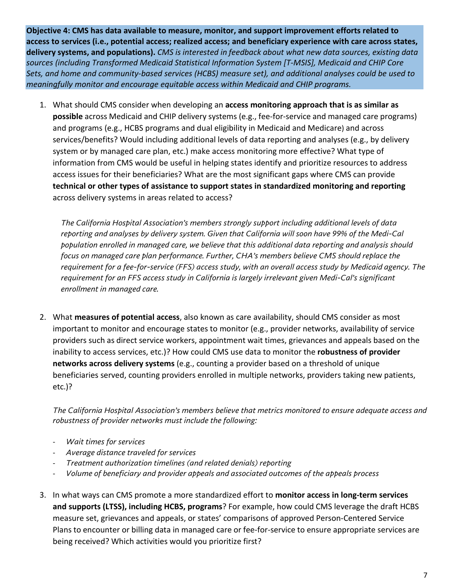**Objective 4: CMS has data available to measure, monitor, and support improvement efforts related to access to services (i.e., potential access; realized access; and beneficiary experience with care across states, delivery systems, and populations).** *CMS is interested in feedback about what new data sources, existing data sources (including Transformed Medicaid Statistical Information System [T-MSIS], Medicaid and CHIP Core Sets, and home and community-based services (HCBS) measure set), and additional analyses could be used to meaningfully monitor and encourage equitable access within Medicaid and CHIP programs.*

1. What should CMS consider when developing an **access monitoring approach that is as similar as possible** across Medicaid and CHIP delivery systems (e.g., fee-for-service and managed care programs) and programs (e.g., HCBS programs and dual eligibility in Medicaid and Medicare) and across services/benefits? Would including additional levels of data reporting and analyses (e.g., by delivery system or by managed care plan, etc.) make access monitoring more effective? What type of information from CMS would be useful in helping states identify and prioritize resources to address access issues for their beneficiaries? What are the most significant gaps where CMS can provide **technical or other types of assistance to support states in standardized monitoring and reporting**  across delivery systems in areas related to access?

*The California Hospital Association's members strongly support including additional levels of data reporting and analyses by delivery system. Given that California will soon have 99% of the Medi-Cal population enrolled in managed care, we believe that this additional data reporting and analysis should focus on managed care plan performance. Further, CHA's members believe CMS should replace the requirement for a fee-for-service (FFS) access study, with an overall access study by Medicaid agency. The requirement for an FFS access study in California is largely irrelevant given Medi-Cal's significant enrollment in managed care.*

2. What **measures of potential access**, also known as care availability, should CMS consider as most important to monitor and encourage states to monitor (e.g., provider networks, availability of service providers such as direct service workers, appointment wait times, grievances and appeals based on the inability to access services, etc.)? How could CMS use data to monitor the **robustness of provider networks across delivery systems** (e.g., counting a provider based on a threshold of unique beneficiaries served, counting providers enrolled in multiple networks, providers taking new patients, etc.)?

*The California Hospital Association's members believe that metrics monitored to ensure adequate access and robustness of provider networks must include the following:*

- *Wait times for services*
- *Average distance traveled for services*
- *Treatment authorization timelines (and related denials) reporting*
- *Volume of beneficiary and provider appeals and associated outcomes of the appeals process*
- 3. In what ways can CMS promote a more standardized effort to **monitor access in long-term services and supports (LTSS), including HCBS, programs**? For example, how could CMS leverage the draft HCBS measure set, grievances and appeals, or states' comparisons of approved Person-Centered Service Plans to encounter or billing data in managed care or fee-for-service to ensure appropriate services are being received? Which activities would you prioritize first?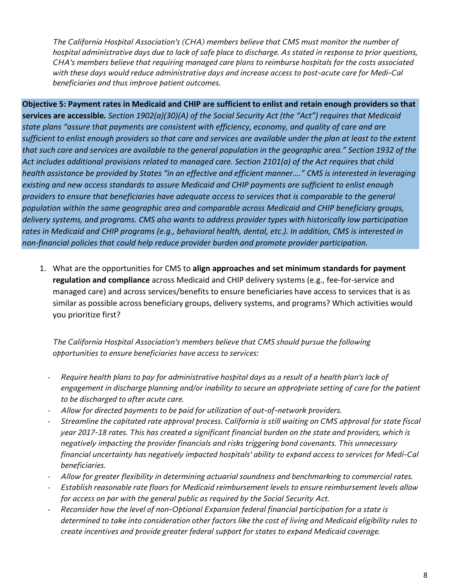*The California Hospital Association's (CHA) members believe that CMS must monitor the number of hospital administrative days due to lack of safe place to discharge. As stated in response to prior questions, CHA's members believe that requiring managed care plans to reimburse hospitals for the costs associated with these days would reduce administrative days and increase access to post-acute care for Medi-Cal beneficiaries and thus improve patient outcomes.* 

**Objective 5: Payment rates in Medicaid and CHIP are sufficient to enlist and retain enough providers so that services are accessible***. Section 1902(a)(30)(A) of the Social Security Act (the "Act") requires that Medicaid state plans "assure that payments are consistent with efficiency, economy, and quality of care and are*  sufficient to enlist enough providers so that care and services are available under the plan at least to the extent that such care and services are available to the general population in the geographic area." Section 1932 of the *Act includes additional provisions related to managed care. Section 2101(a) of the Act requires that child* health assistance be provided by States "in an effective and efficient manner...." CMS is interested in leveraging *existing and new access standards to assure Medicaid and CHIP payments are sufficient to enlist enough providers to ensure that beneficiaries have adequate access to services that is comparable to the general population within the same geographic area and comparable across Medicaid and CHIP beneficiary groups, delivery systems, and programs. CMS also wants to address provider types with historically low participation rates in Medicaid and CHIP programs (e.g., behavioral health, dental, etc.). In addition, CMS is interested in non-financial policies that could help reduce provider burden and promote provider participation.*

1. What are the opportunities for CMS to **align approaches and set minimum standards for payment regulation and compliance** across Medicaid and CHIP delivery systems (e.g., fee-for-service and managed care) and across services/benefits to ensure beneficiaries have access to services that is as similar as possible across beneficiary groups, delivery systems, and programs? Which activities would you prioritize first?

*The California Hospital Association's members believe that CMS should pursue the following opportunities to ensure beneficiaries have access to services:*

- *Require health plans to pay for administrative hospital days as a result of a health plan's lack of engagement in discharge planning and/or inability to secure an appropriate setting of care for the patient to be discharged to after acute care.*
- *Allow for directed payments to be paid for utilization of out-of-network providers.*
- *Streamline the capitated rate approval process. California is still waiting on CMS approval for state fiscal year 2017-18 rates. This has created a significant financial burden on the state and providers, which is negatively impacting the provider financials and risks triggering bond covenants. This unnecessary financial uncertainty has negatively impacted hospitals' ability to expand access to services for Medi-Cal beneficiaries.*
- *Allow for greater flexibility in determining actuarial soundness and benchmarking to commercial rates.*
- *Establish reasonable rate floors for Medicaid reimbursement levels to ensure reimbursement levels allow for access on par with the general public as required by the Social Security Act.*
- *Reconsider how the level of non-Optional Expansion federal financial participation for a state is determined to take into consideration other factors like the cost of living and Medicaid eligibility rules to create incentives and provide greater federal support for states to expand Medicaid coverage.*